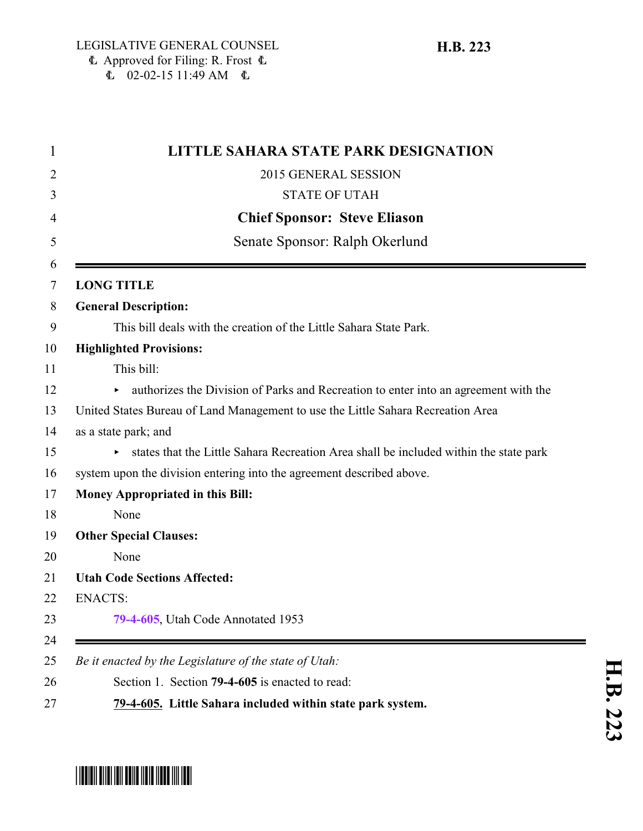|                                | <b>LITTLE SAHARA STATE PARK DESIGNATION</b>                                              |
|--------------------------------|------------------------------------------------------------------------------------------|
|                                | 2015 GENERAL SESSION                                                                     |
|                                | <b>STATE OF UTAH</b>                                                                     |
|                                | <b>Chief Sponsor: Steve Eliason</b>                                                      |
| Senate Sponsor: Ralph Okerlund |                                                                                          |
|                                | <b>LONG TITLE</b>                                                                        |
|                                | <b>General Description:</b>                                                              |
|                                | This bill deals with the creation of the Little Sahara State Park.                       |
|                                | <b>Highlighted Provisions:</b>                                                           |
|                                | This bill:                                                                               |
|                                | authorizes the Division of Parks and Recreation to enter into an agreement with the<br>▶ |
|                                | United States Bureau of Land Management to use the Little Sahara Recreation Area         |
|                                | as a state park; and                                                                     |
|                                | states that the Little Sahara Recreation Area shall be included within the state park    |
|                                | system upon the division entering into the agreement described above.                    |
|                                | <b>Money Appropriated in this Bill:</b>                                                  |
|                                | None                                                                                     |
|                                | <b>Other Special Clauses:</b>                                                            |
|                                | None                                                                                     |
|                                | <b>Utah Code Sections Affected:</b>                                                      |
| <b>ENACTS:</b>                 |                                                                                          |
|                                | 79-4-605, Utah Code Annotated 1953                                                       |
|                                | Be it enacted by the Legislature of the state of Utah:                                   |
|                                | Section 1. Section 79-4-605 is enacted to read:                                          |
|                                | 79-4-605. Little Sahara included within state park system.                               |

<span id="page-0-0"></span>